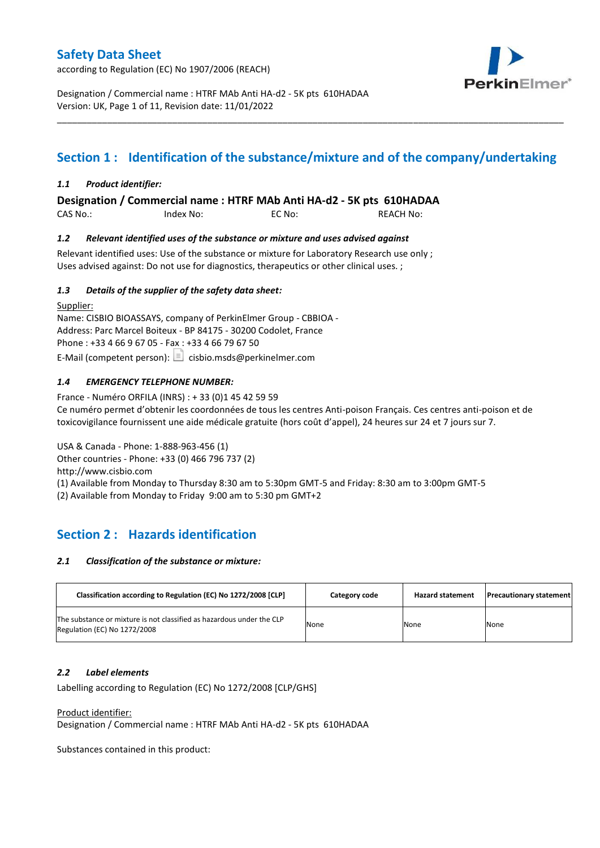according to Regulation (EC) No 1907/2006 (REACH)



Designation / Commercial name : HTRF MAb Anti HA-d2 - 5K pts 610HADAA Version: UK, Page 1 of 11, Revision date: 11/01/2022

# **Section 1 : Identification of the substance/mixture and of the company/undertaking**

\_\_\_\_\_\_\_\_\_\_\_\_\_\_\_\_\_\_\_\_\_\_\_\_\_\_\_\_\_\_\_\_\_\_\_\_\_\_\_\_\_\_\_\_\_\_\_\_\_\_\_\_\_\_\_\_\_\_\_\_\_\_\_\_\_\_\_\_\_\_\_\_\_\_\_\_\_\_\_\_\_\_\_\_\_\_\_\_\_\_\_\_\_\_\_\_\_\_\_\_\_

### *1.1 Product identifier:*

**Designation / Commercial name : HTRF MAb Anti HA-d2 - 5K pts 610HADAA** 

CAS No.: Index No: EC No: REACH No:

### *1.2 Relevant identified uses of the substance or mixture and uses advised against*

Relevant identified uses: Use of the substance or mixture for Laboratory Research use only ; Uses advised against: Do not use for diagnostics, therapeutics or other clinical uses. ;

### *1.3 Details of the supplier of the safety data sheet:*

Supplier: Name: CISBIO BIOASSAYS, company of PerkinElmer Group - CBBIOA - Address: Parc Marcel Boiteux - BP 84175 - 30200 Codolet, France Phone : +33 4 66 9 67 05 - Fax : +33 4 66 79 67 50 E-Mail (competent person):  $\boxed{\equiv}$  cisbio.msds@perkinelmer.com

### *1.4 EMERGENCY TELEPHONE NUMBER:*

France - Numéro ORFILA (INRS) : + 33 (0)1 45 42 59 59 Ce numéro permet d'obtenir les coordonnées de tous les centres Anti-poison Français. Ces centres anti-poison et de toxicovigilance fournissent une aide médicale gratuite (hors coût d'appel), 24 heures sur 24 et 7 jours sur 7.

USA & Canada - Phone: 1-888-963-456 (1) Other countries - Phone: +33 (0) 466 796 737 (2)

http://www.cisbio.com

(1) Available from Monday to Thursday 8:30 am to 5:30pm GMT-5 and Friday: 8:30 am to 3:00pm GMT-5

(2) Available from Monday to Friday 9:00 am to 5:30 pm GMT+2

# **Section 2 : Hazards identification**

### *2.1 Classification of the substance or mixture:*

| Classification according to Regulation (EC) No 1272/2008 [CLP]                                        | Category code | <b>Hazard statement</b> | <b>Precautionary statement</b> |
|-------------------------------------------------------------------------------------------------------|---------------|-------------------------|--------------------------------|
| The substance or mixture is not classified as hazardous under the CLP<br>Regulation (EC) No 1272/2008 | None          | None                    | None                           |

### *2.2 Label elements*

Labelling according to Regulation (EC) No 1272/2008 [CLP/GHS]

Product identifier:

Designation / Commercial name : HTRF MAb Anti HA-d2 - 5K pts 610HADAA

Substances contained in this product: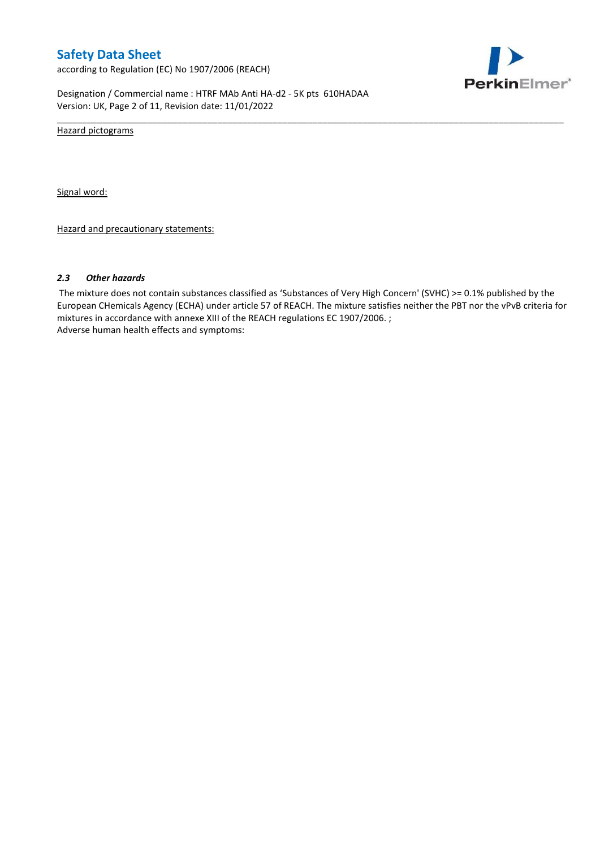according to Regulation (EC) No 1907/2006 (REACH)



Designation / Commercial name : HTRF MAb Anti HA-d2 - 5K pts 610HADAA Version: UK, Page 2 of 11, Revision date: 11/01/2022

Hazard pictograms

Signal word:

Hazard and precautionary statements:

#### *2.3 Other hazards*

The mixture does not contain substances classified as 'Substances of Very High Concern' (SVHC) >= 0.1% published by the European CHemicals Agency (ECHA) under article 57 of REACH. The mixture satisfies neither the PBT nor the vPvB criteria for mixtures in accordance with annexe XIII of the REACH regulations EC 1907/2006. ; Adverse human health effects and symptoms:

\_\_\_\_\_\_\_\_\_\_\_\_\_\_\_\_\_\_\_\_\_\_\_\_\_\_\_\_\_\_\_\_\_\_\_\_\_\_\_\_\_\_\_\_\_\_\_\_\_\_\_\_\_\_\_\_\_\_\_\_\_\_\_\_\_\_\_\_\_\_\_\_\_\_\_\_\_\_\_\_\_\_\_\_\_\_\_\_\_\_\_\_\_\_\_\_\_\_\_\_\_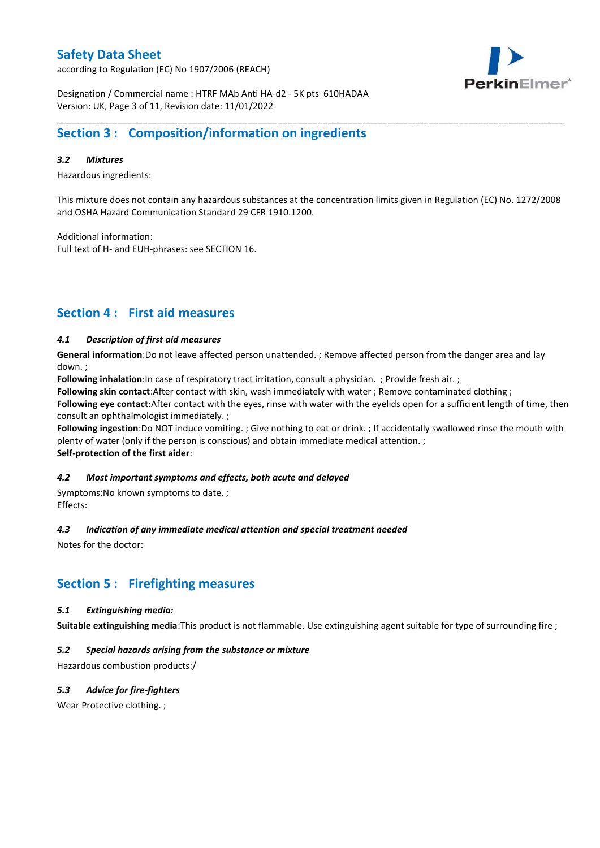according to Regulation (EC) No 1907/2006 (REACH)



Designation / Commercial name : HTRF MAb Anti HA-d2 - 5K pts 610HADAA Version: UK, Page 3 of 11, Revision date: 11/01/2022

# **Section 3 : Composition/information on ingredients**

### *3.2 Mixtures*

Hazardous ingredients:

This mixture does not contain any hazardous substances at the concentration limits given in Regulation (EC) No. 1272/2008 and OSHA Hazard Communication Standard 29 CFR 1910.1200.

\_\_\_\_\_\_\_\_\_\_\_\_\_\_\_\_\_\_\_\_\_\_\_\_\_\_\_\_\_\_\_\_\_\_\_\_\_\_\_\_\_\_\_\_\_\_\_\_\_\_\_\_\_\_\_\_\_\_\_\_\_\_\_\_\_\_\_\_\_\_\_\_\_\_\_\_\_\_\_\_\_\_\_\_\_\_\_\_\_\_\_\_\_\_\_\_\_\_\_\_\_

Additional information:

Full text of H- and EUH-phrases: see SECTION 16.

# **Section 4 : First aid measures**

### *4.1 Description of first aid measures*

**General information**:Do not leave affected person unattended. ; Remove affected person from the danger area and lay down. ;

**Following inhalation**:In case of respiratory tract irritation, consult a physician. ; Provide fresh air. ;

**Following skin contact**:After contact with skin, wash immediately with water ; Remove contaminated clothing ;

**Following eye contact**:After contact with the eyes, rinse with water with the eyelids open for a sufficient length of time, then consult an ophthalmologist immediately. ;

**Following ingestion**:Do NOT induce vomiting. ; Give nothing to eat or drink. ; If accidentally swallowed rinse the mouth with plenty of water (only if the person is conscious) and obtain immediate medical attention. ; **Self-protection of the first aider**:

### *4.2 Most important symptoms and effects, both acute and delayed*

Symptoms:No known symptoms to date. ; Effects:

### *4.3 Indication of any immediate medical attention and special treatment needed*

Notes for the doctor:

## **Section 5 : Firefighting measures**

### *5.1 Extinguishing media:*

**Suitable extinguishing media**:This product is not flammable. Use extinguishing agent suitable for type of surrounding fire ;

### *5.2 Special hazards arising from the substance or mixture*

Hazardous combustion products:/

### *5.3 Advice for fire-fighters*

Wear Protective clothing.;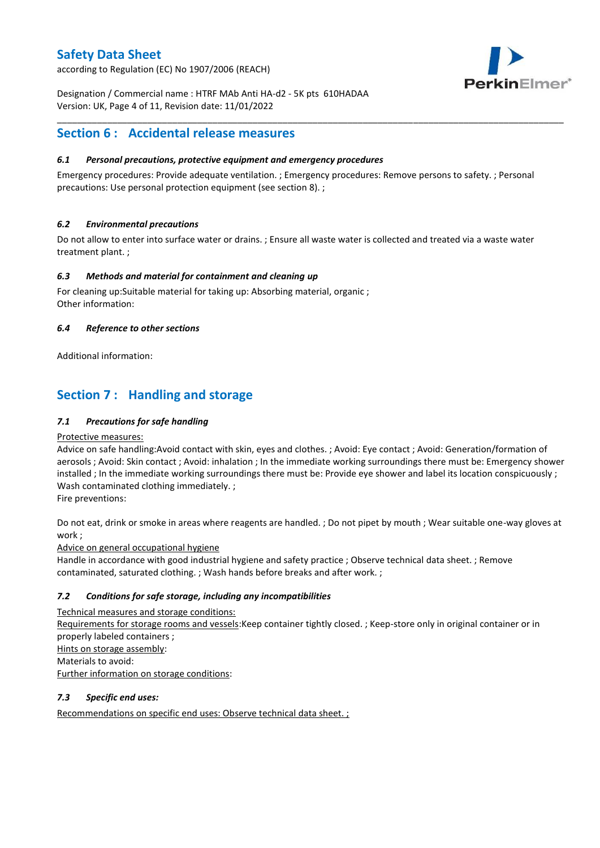according to Regulation (EC) No 1907/2006 (REACH)



Designation / Commercial name : HTRF MAb Anti HA-d2 - 5K pts 610HADAA Version: UK, Page 4 of 11, Revision date: 11/01/2022

# **Section 6 : Accidental release measures**

### *6.1 Personal precautions, protective equipment and emergency procedures*

Emergency procedures: Provide adequate ventilation. ; Emergency procedures: Remove persons to safety. ; Personal precautions: Use personal protection equipment (see section 8). ;

\_\_\_\_\_\_\_\_\_\_\_\_\_\_\_\_\_\_\_\_\_\_\_\_\_\_\_\_\_\_\_\_\_\_\_\_\_\_\_\_\_\_\_\_\_\_\_\_\_\_\_\_\_\_\_\_\_\_\_\_\_\_\_\_\_\_\_\_\_\_\_\_\_\_\_\_\_\_\_\_\_\_\_\_\_\_\_\_\_\_\_\_\_\_\_\_\_\_\_\_\_

### *6.2 Environmental precautions*

Do not allow to enter into surface water or drains. ; Ensure all waste water is collected and treated via a waste water treatment plant. ;

### *6.3 Methods and material for containment and cleaning up*

For cleaning up:Suitable material for taking up: Absorbing material, organic ; Other information:

### *6.4 Reference to other sections*

Additional information:

# **Section 7 : Handling and storage**

### *7.1 Precautions for safe handling*

### Protective measures:

Advice on safe handling:Avoid contact with skin, eyes and clothes. ; Avoid: Eye contact ; Avoid: Generation/formation of aerosols ; Avoid: Skin contact ; Avoid: inhalation ; In the immediate working surroundings there must be: Emergency shower installed ; In the immediate working surroundings there must be: Provide eye shower and label its location conspicuously ; Wash contaminated clothing immediately. ;

Fire preventions:

Do not eat, drink or smoke in areas where reagents are handled. ; Do not pipet by mouth ; Wear suitable one-way gloves at work ;

Advice on general occupational hygiene

Handle in accordance with good industrial hygiene and safety practice ; Observe technical data sheet. ; Remove contaminated, saturated clothing. ; Wash hands before breaks and after work. ;

### *7.2 Conditions for safe storage, including any incompatibilities*

Technical measures and storage conditions: Requirements for storage rooms and vessels:Keep container tightly closed. ; Keep-store only in original container or in properly labeled containers ; Hints on storage assembly: Materials to avoid: Further information on storage conditions:

### *7.3 Specific end uses:*

Recommendations on specific end uses: Observe technical data sheet. ;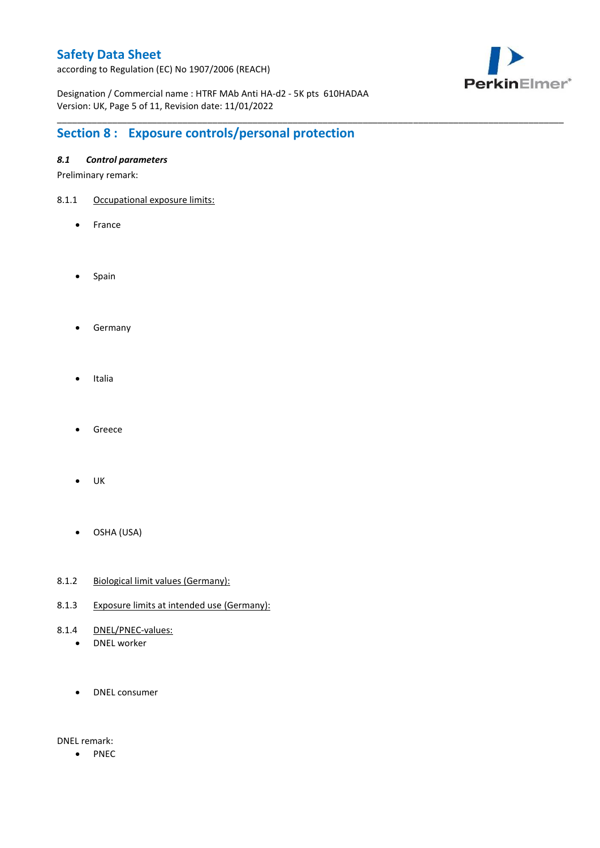according to Regulation (EC) No 1907/2006 (REACH)



Designation / Commercial name : HTRF MAb Anti HA-d2 - 5K pts 610HADAA Version: UK, Page 5 of 11, Revision date: 11/01/2022

\_\_\_\_\_\_\_\_\_\_\_\_\_\_\_\_\_\_\_\_\_\_\_\_\_\_\_\_\_\_\_\_\_\_\_\_\_\_\_\_\_\_\_\_\_\_\_\_\_\_\_\_\_\_\_\_\_\_\_\_\_\_\_\_\_\_\_\_\_\_\_\_\_\_\_\_\_\_\_\_\_\_\_\_\_\_\_\_\_\_\_\_\_\_\_\_\_\_\_\_\_

# **Section 8 : Exposure controls/personal protection**

### *8.1 Control parameters*

Preliminary remark:

- 8.1.1 Occupational exposure limits:
	- France
	- Spain
	- **•** Germany
	- Italia
	- Greece
	- $\bullet$  UK
	- OSHA (USA)
- 8.1.2 Biological limit values (Germany):
- 8.1.3 Exposure limits at intended use (Germany):
- 8.1.4 DNEL/PNEC-values:
	- DNEL worker
	- DNEL consumer

DNEL remark:

• PNEC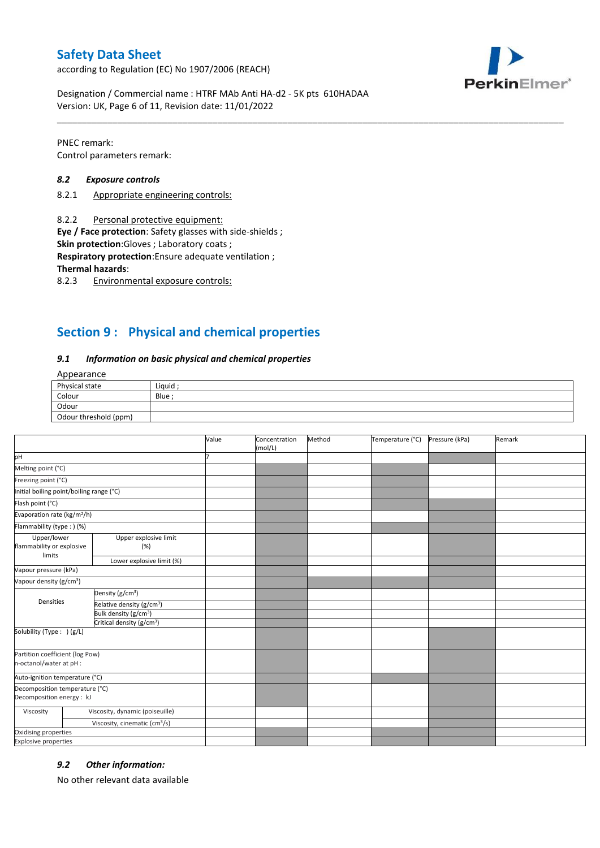according to Regulation (EC) No 1907/2006 (REACH)



Designation / Commercial name : HTRF MAb Anti HA-d2 - 5K pts 610HADAA Version: UK, Page 6 of 11, Revision date: 11/01/2022

PNEC remark: Control parameters remark:

### *8.2 Exposure controls*

- 8.2.1 Appropriate engineering controls:
- 8.2.2 Personal protective equipment:

**Eye / Face protection**: Safety glasses with side-shields ;

**Skin protection**:Gloves ; Laboratory coats ;

**Respiratory protection**:Ensure adequate ventilation ;

**Thermal hazards**:

8.2.3 Environmental exposure controls:

# **Section 9 : Physical and chemical properties**

#### *9.1 Information on basic physical and chemical properties*

### Appearance

| Physical state        | Liquid |
|-----------------------|--------|
| Colour                | Blue   |
| Odour                 |        |
| Odour threshold (ppm) |        |

\_\_\_\_\_\_\_\_\_\_\_\_\_\_\_\_\_\_\_\_\_\_\_\_\_\_\_\_\_\_\_\_\_\_\_\_\_\_\_\_\_\_\_\_\_\_\_\_\_\_\_\_\_\_\_\_\_\_\_\_\_\_\_\_\_\_\_\_\_\_\_\_\_\_\_\_\_\_\_\_\_\_\_\_\_\_\_\_\_\_\_\_\_\_\_\_\_\_\_\_\_

|                                                             |                                           | Value | Concentration<br>(mol/L) | Method | Temperature (°C) | Pressure (kPa) | Remark |
|-------------------------------------------------------------|-------------------------------------------|-------|--------------------------|--------|------------------|----------------|--------|
| pH                                                          |                                           |       |                          |        |                  |                |        |
| Melting point (°C)                                          |                                           |       |                          |        |                  |                |        |
| Freezing point (°C)                                         |                                           |       |                          |        |                  |                |        |
| Initial boiling point/boiling range (°C)                    |                                           |       |                          |        |                  |                |        |
| Flash point (°C)                                            |                                           |       |                          |        |                  |                |        |
| Evaporation rate (kg/m <sup>2</sup> /h)                     |                                           |       |                          |        |                  |                |        |
| Flammability (type : ) (%)                                  |                                           |       |                          |        |                  |                |        |
| Upper/lower<br>flammability or explosive<br>limits          | Upper explosive limit<br>(%)              |       |                          |        |                  |                |        |
|                                                             | Lower explosive limit (%)                 |       |                          |        |                  |                |        |
| Vapour pressure (kPa)                                       |                                           |       |                          |        |                  |                |        |
| Vapour density (g/cm <sup>3</sup> )                         |                                           |       |                          |        |                  |                |        |
| Densities                                                   | Density (g/cm <sup>3</sup> )              |       |                          |        |                  |                |        |
|                                                             | Relative density (g/cm <sup>3</sup> )     |       |                          |        |                  |                |        |
|                                                             | Bulk density (g/cm <sup>3</sup> )         |       |                          |        |                  |                |        |
|                                                             | Critical density (g/cm <sup>3</sup> )     |       |                          |        |                  |                |        |
| Solubility (Type: ) (g/L)                                   |                                           |       |                          |        |                  |                |        |
| Partition coefficient (log Pow)<br>n-octanol/water at pH :  |                                           |       |                          |        |                  |                |        |
| Auto-ignition temperature (°C)                              |                                           |       |                          |        |                  |                |        |
| Decomposition temperature (°C)<br>Decomposition energy : kJ |                                           |       |                          |        |                  |                |        |
| Viscosity                                                   | Viscosity, dynamic (poiseuille)           |       |                          |        |                  |                |        |
|                                                             | Viscosity, cinematic (cm <sup>3</sup> /s) |       |                          |        |                  |                |        |
| Oxidising properties                                        |                                           |       |                          |        |                  |                |        |
| <b>Explosive properties</b>                                 |                                           |       |                          |        |                  |                |        |

### *9.2 Other information:*

No other relevant data available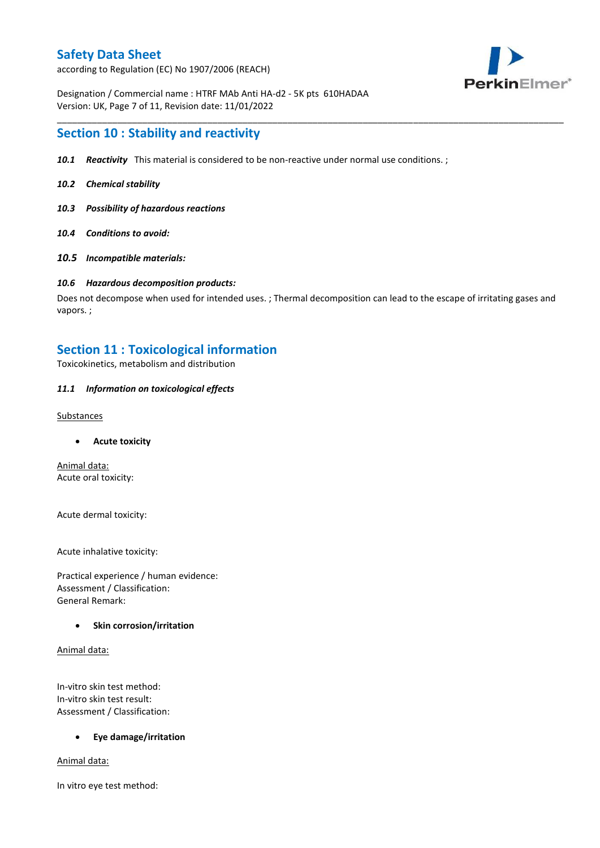according to Regulation (EC) No 1907/2006 (REACH)



Designation / Commercial name : HTRF MAb Anti HA-d2 - 5K pts 610HADAA Version: UK, Page 7 of 11, Revision date: 11/01/2022

### **Section 10 : Stability and reactivity**

- *10.1 Reactivity* This material is considered to be non-reactive under normal use conditions. ;
- *10.2 Chemical stability*
- *10.3 Possibility of hazardous reactions*
- *10.4 Conditions to avoid:*
- *10.5 Incompatible materials:*

#### *10.6 Hazardous decomposition products:*

Does not decompose when used for intended uses. ; Thermal decomposition can lead to the escape of irritating gases and vapors. ;

\_\_\_\_\_\_\_\_\_\_\_\_\_\_\_\_\_\_\_\_\_\_\_\_\_\_\_\_\_\_\_\_\_\_\_\_\_\_\_\_\_\_\_\_\_\_\_\_\_\_\_\_\_\_\_\_\_\_\_\_\_\_\_\_\_\_\_\_\_\_\_\_\_\_\_\_\_\_\_\_\_\_\_\_\_\_\_\_\_\_\_\_\_\_\_\_\_\_\_\_\_

### **Section 11 : Toxicological information**

Toxicokinetics, metabolism and distribution

### *11.1 Information on toxicological effects*

#### **Substances**

**Acute toxicity**

Animal data: Acute oral toxicity:

Acute dermal toxicity:

Acute inhalative toxicity:

Practical experience / human evidence: Assessment / Classification: General Remark:

### **Skin corrosion/irritation**

Animal data:

In-vitro skin test method: In-vitro skin test result: Assessment / Classification:

### **Eye damage/irritation**

Animal data:

In vitro eye test method: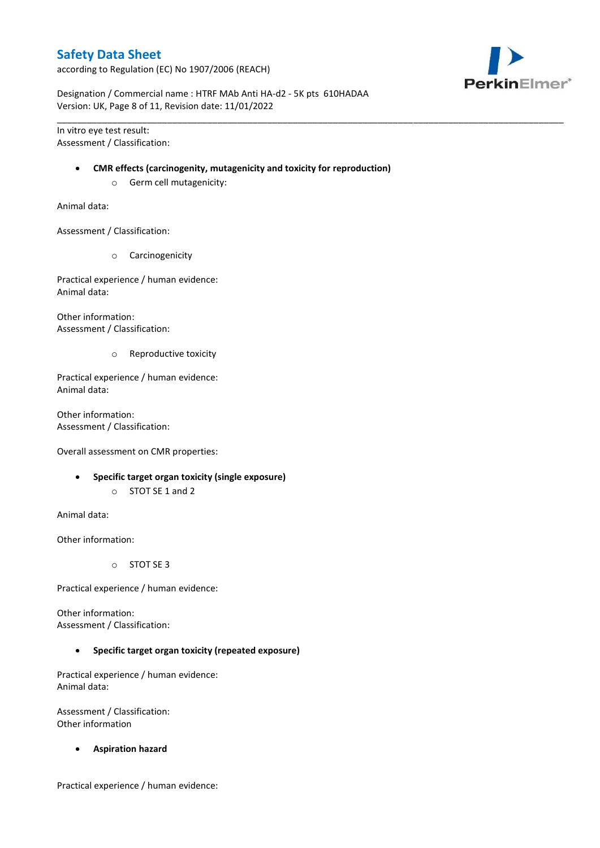according to Regulation (EC) No 1907/2006 (REACH)



Designation / Commercial name : HTRF MAb Anti HA-d2 - 5K pts 610HADAA Version: UK, Page 8 of 11, Revision date: 11/01/2022

In vitro eye test result: Assessment / Classification:

#### **CMR effects (carcinogenity, mutagenicity and toxicity for reproduction)**

\_\_\_\_\_\_\_\_\_\_\_\_\_\_\_\_\_\_\_\_\_\_\_\_\_\_\_\_\_\_\_\_\_\_\_\_\_\_\_\_\_\_\_\_\_\_\_\_\_\_\_\_\_\_\_\_\_\_\_\_\_\_\_\_\_\_\_\_\_\_\_\_\_\_\_\_\_\_\_\_\_\_\_\_\_\_\_\_\_\_\_\_\_\_\_\_\_\_\_\_\_

o Germ cell mutagenicity:

Animal data:

Assessment / Classification:

o Carcinogenicity

Practical experience / human evidence: Animal data:

Other information: Assessment / Classification:

o Reproductive toxicity

Practical experience / human evidence: Animal data:

Other information: Assessment / Classification:

Overall assessment on CMR properties:

- **Specific target organ toxicity (single exposure)**
	- o STOT SE 1 and 2

Animal data:

Other information:

o STOT SE 3

Practical experience / human evidence:

Other information: Assessment / Classification:

**Specific target organ toxicity (repeated exposure)**

Practical experience / human evidence: Animal data:

Assessment / Classification: Other information

**Aspiration hazard**

Practical experience / human evidence: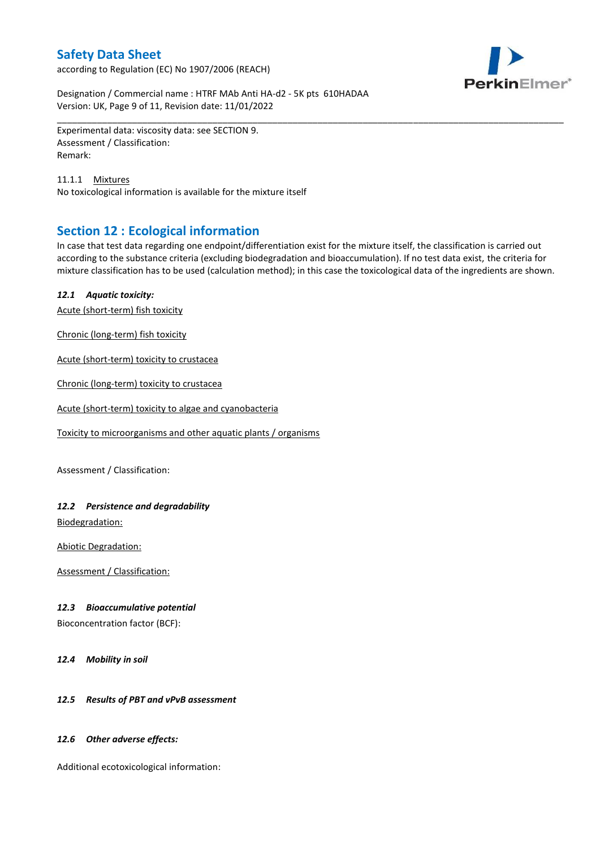according to Regulation (EC) No 1907/2006 (REACH)



Designation / Commercial name : HTRF MAb Anti HA-d2 - 5K pts 610HADAA Version: UK, Page 9 of 11, Revision date: 11/01/2022

Experimental data: viscosity data: see SECTION 9. Assessment / Classification: Remark:

11.1.1 Mixtures No toxicological information is available for the mixture itself

# **Section 12 : Ecological information**

In case that test data regarding one endpoint/differentiation exist for the mixture itself, the classification is carried out according to the substance criteria (excluding biodegradation and bioaccumulation). If no test data exist, the criteria for mixture classification has to be used (calculation method); in this case the toxicological data of the ingredients are shown.

\_\_\_\_\_\_\_\_\_\_\_\_\_\_\_\_\_\_\_\_\_\_\_\_\_\_\_\_\_\_\_\_\_\_\_\_\_\_\_\_\_\_\_\_\_\_\_\_\_\_\_\_\_\_\_\_\_\_\_\_\_\_\_\_\_\_\_\_\_\_\_\_\_\_\_\_\_\_\_\_\_\_\_\_\_\_\_\_\_\_\_\_\_\_\_\_\_\_\_\_\_

### *12.1 Aquatic toxicity:*

Acute (short-term) fish toxicity

Chronic (long-term) fish toxicity

Acute (short-term) toxicity to crustacea

Chronic (long-term) toxicity to crustacea

Acute (short-term) toxicity to algae and cyanobacteria

Toxicity to microorganisms and other aquatic plants / organisms

Assessment / Classification:

### *12.2 Persistence and degradability*

Biodegradation:

Abiotic Degradation:

Assessment / Classification:

### *12.3 Bioaccumulative potential*

Bioconcentration factor (BCF):

*12.4 Mobility in soil*

### *12.5 Results of PBT and vPvB assessment*

### *12.6 Other adverse effects:*

Additional ecotoxicological information: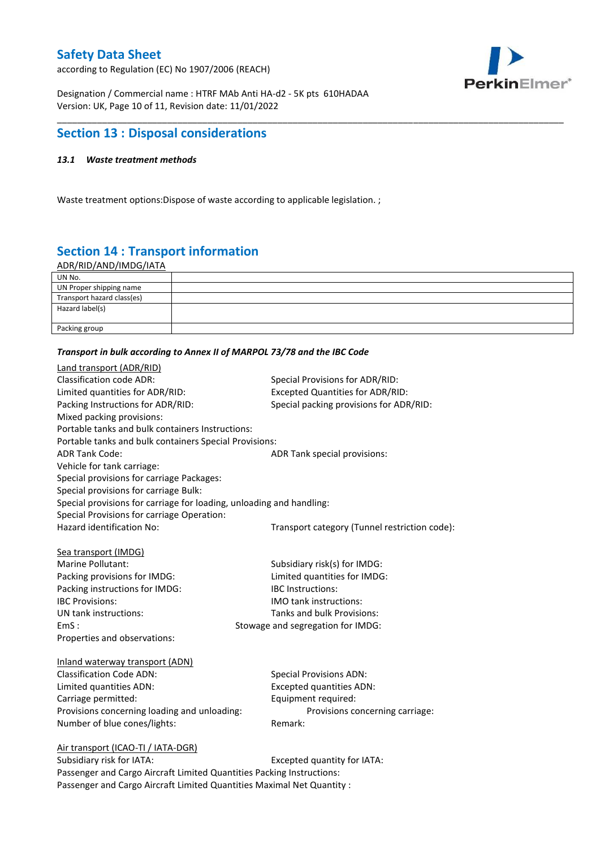according to Regulation (EC) No 1907/2006 (REACH)



Designation / Commercial name : HTRF MAb Anti HA-d2 - 5K pts 610HADAA Version: UK, Page 10 of 11, Revision date: 11/01/2022

# **Section 13 : Disposal considerations**

### *13.1 Waste treatment methods*

Waste treatment options:Dispose of waste according to applicable legislation. ;

# **Section 14 : Transport information**

ADR/RID/AND/IMDG/IATA

| UN No.                     |  |
|----------------------------|--|
| UN Proper shipping name    |  |
| Transport hazard class(es) |  |
| Hazard label(s)            |  |
|                            |  |
| Packing group              |  |

\_\_\_\_\_\_\_\_\_\_\_\_\_\_\_\_\_\_\_\_\_\_\_\_\_\_\_\_\_\_\_\_\_\_\_\_\_\_\_\_\_\_\_\_\_\_\_\_\_\_\_\_\_\_\_\_\_\_\_\_\_\_\_\_\_\_\_\_\_\_\_\_\_\_\_\_\_\_\_\_\_\_\_\_\_\_\_\_\_\_\_\_\_\_\_\_\_\_\_\_\_

#### *Transport in bulk according to Annex II of MARPOL 73/78 and the IBC Code*

| Land transport (ADR/RID)                                             |                                               |
|----------------------------------------------------------------------|-----------------------------------------------|
| <b>Classification code ADR:</b>                                      | Special Provisions for ADR/RID:               |
| Limited quantities for ADR/RID:                                      | <b>Excepted Quantities for ADR/RID:</b>       |
| Packing Instructions for ADR/RID:                                    | Special packing provisions for ADR/RID:       |
| Mixed packing provisions:                                            |                                               |
| Portable tanks and bulk containers Instructions:                     |                                               |
| Portable tanks and bulk containers Special Provisions:               |                                               |
| <b>ADR Tank Code:</b>                                                | ADR Tank special provisions:                  |
| Vehicle for tank carriage:                                           |                                               |
| Special provisions for carriage Packages:                            |                                               |
| Special provisions for carriage Bulk:                                |                                               |
| Special provisions for carriage for loading, unloading and handling: |                                               |
| Special Provisions for carriage Operation:                           |                                               |
| Hazard identification No:                                            | Transport category (Tunnel restriction code): |
|                                                                      |                                               |
| Sea transport (IMDG)                                                 |                                               |
| Marine Pollutant:                                                    | Subsidiary risk(s) for IMDG:                  |
| Packing provisions for IMDG:                                         | Limited quantities for IMDG:                  |
| Packing instructions for IMDG:                                       | IBC Instructions:                             |
| <b>IBC Provisions:</b>                                               | <b>IMO</b> tank instructions:                 |
| UN tank instructions:                                                | Tanks and bulk Provisions:                    |
| EmS:                                                                 | Stowage and segregation for IMDG:             |
| Properties and observations:                                         |                                               |
| Inland waterway transport (ADN)                                      |                                               |
| <b>Classification Code ADN:</b>                                      | <b>Special Provisions ADN:</b>                |
| Limited quantities ADN:                                              | <b>Excepted quantities ADN:</b>               |
| Carriage permitted:                                                  | Equipment required:                           |
| Provisions concerning loading and unloading:                         | Provisions concerning carriage:               |
| Number of blue cones/lights:                                         | Remark:                                       |
|                                                                      |                                               |
| Air transport (ICAO-TI / IATA-DGR)                                   |                                               |
| Subsidiary risk for IATA.                                            | Excented quantity for IATA.                   |

Subsidiary risk for IATA: Excepted quantity for IATA: Passenger and Cargo Aircraft Limited Quantities Packing Instructions: Passenger and Cargo Aircraft Limited Quantities Maximal Net Quantity :